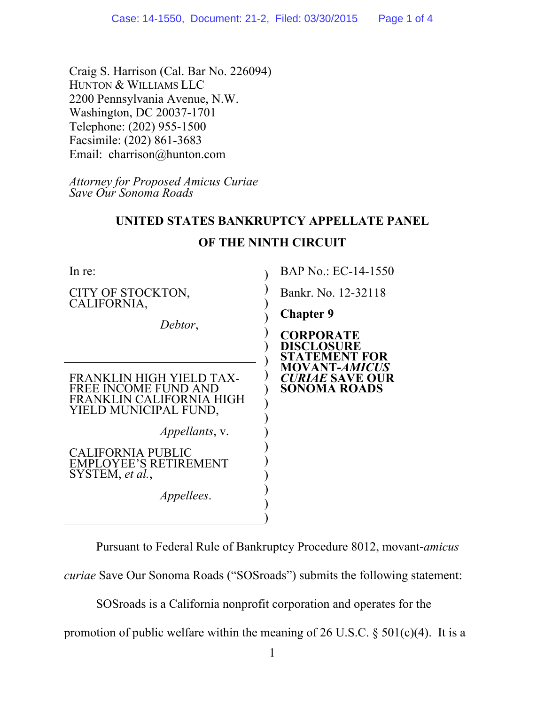Craig S. Harrison (Cal. Bar No. 226094) HUNTON & WILLIAMS LLC 2200 Pennsylvania Avenue, N.W. Washington, DC 20037-1701 Telephone: (202) 955-1500 Facsimile: (202) 861-3683 Email: charrison@hunton.com

*Attorney for Proposed Amicus Curiae Save Our Sonoma Roads*

## **UNITED STATES BANKRUPTCY APPELLATE PANEL**

| In re:                                                                                                | BAP No.: EC-14-1550                                                                 |
|-------------------------------------------------------------------------------------------------------|-------------------------------------------------------------------------------------|
| CITY OF STOCKTON,<br>CALIFORNIA,                                                                      | Bankr. No. 12-32118                                                                 |
| Debtor,                                                                                               | <b>Chapter 9</b>                                                                    |
|                                                                                                       | <b>CORPORATE</b><br><b>DISCLOSURE</b><br>STATEMENT FOR                              |
| FRANKLIN HIGH YIELD TAX-<br>FREE INCOME FUND AND<br>FRANKLIN CALIFORNIA HIGH<br>YIELD MUNICIPAL FUND, | <b>MOVANT-<i>AMICUS</i></b><br><b><i>CURIAE</i></b> SAVE OUR<br><b>SONOMA ROADS</b> |
| <i>Appellants, v.</i>                                                                                 |                                                                                     |
| CALIFORNIA PUBLIC<br><b>EMPLOYEE'S RETIREMENT</b><br>SYSTEM, et al.,                                  |                                                                                     |
| <i>Appellees.</i>                                                                                     |                                                                                     |
|                                                                                                       |                                                                                     |

## **OF THE NINTH CIRCUIT**

Pursuant to Federal Rule of Bankruptcy Procedure 8012, movant-*amicus* 

*curiae* Save Our Sonoma Roads ("SOSroads") submits the following statement:

SOSroads is a California nonprofit corporation and operates for the

promotion of public welfare within the meaning of 26 U.S.C.  $\S$  501(c)(4). It is a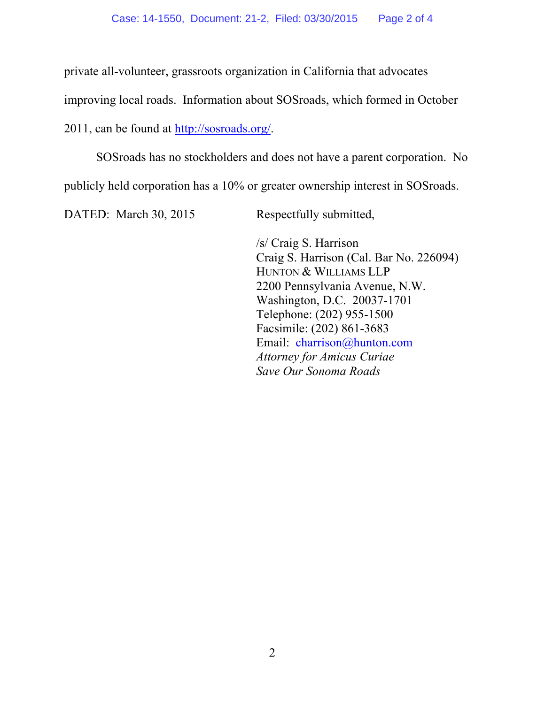private all-volunteer, grassroots organization in California that advocates

improving local roads. Information about SOSroads, which formed in October

2011, can be found at http://sosroads.org/.

SOSroads has no stockholders and does not have a parent corporation. No

publicly held corporation has a 10% or greater ownership interest in SOSroads.

DATED: March 30, 2015 Respectfully submitted,

/s/ Craig S. Harrison Craig S. Harrison (Cal. Bar No. 226094) HUNTON & WILLIAMS LLP 2200 Pennsylvania Avenue, N.W. Washington, D.C. 20037-1701 Telephone: (202) 955-1500 Facsimile: (202) 861-3683 Email: charrison@hunton.com *Attorney for Amicus Curiae Save Our Sonoma Roads*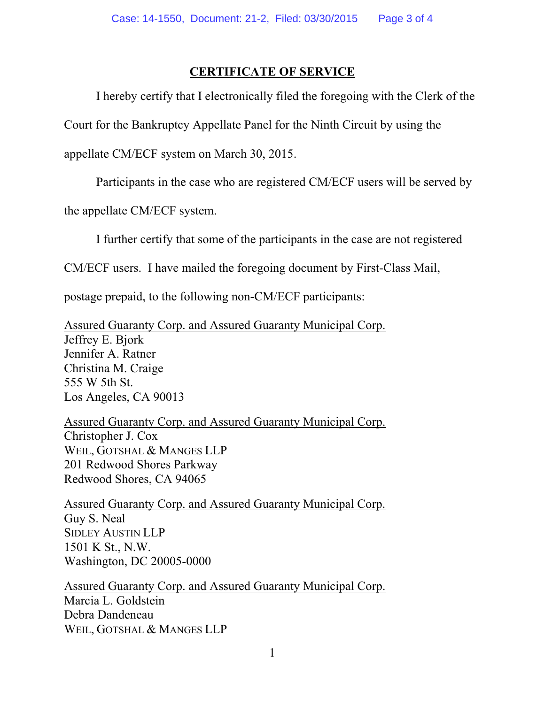## **CERTIFICATE OF SERVICE**

I hereby certify that I electronically filed the foregoing with the Clerk of the

Court for the Bankruptcy Appellate Panel for the Ninth Circuit by using the

appellate CM/ECF system on March 30, 2015.

Participants in the case who are registered CM/ECF users will be served by

the appellate CM/ECF system.

I further certify that some of the participants in the case are not registered

CM/ECF users. I have mailed the foregoing document by First-Class Mail,

postage prepaid, to the following non-CM/ECF participants:

Assured Guaranty Corp. and Assured Guaranty Municipal Corp. Jeffrey E. Bjork Jennifer A. Ratner Christina M. Craige 555 W 5th St. Los Angeles, CA 90013

Assured Guaranty Corp. and Assured Guaranty Municipal Corp. Christopher J. Cox WEIL, GOTSHAL & MANGES LLP 201 Redwood Shores Parkway Redwood Shores, CA 94065

Assured Guaranty Corp. and Assured Guaranty Municipal Corp. Guy S. Neal SIDLEY AUSTIN LLP 1501 K St., N.W. Washington, DC 20005-0000

Assured Guaranty Corp. and Assured Guaranty Municipal Corp. Marcia L. Goldstein Debra Dandeneau WEIL, GOTSHAL & MANGES LLP